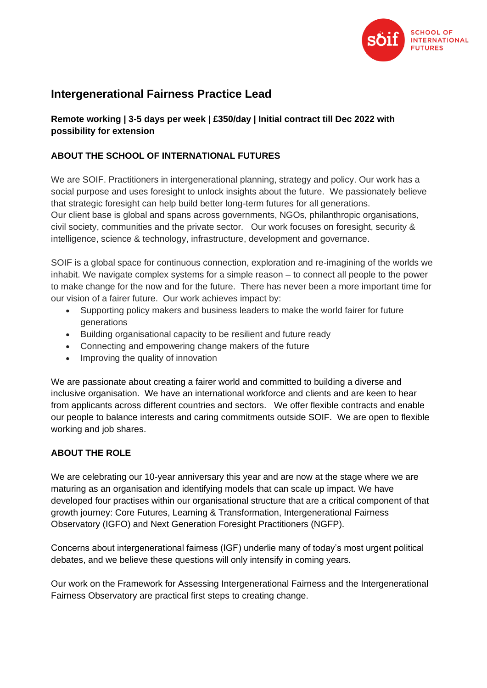

# **Intergenerational Fairness Practice Lead**

**Remote working | 3-5 days per week | £350/day | Initial contract till Dec 2022 with possibility for extension**

# **ABOUT THE SCHOOL OF INTERNATIONAL FUTURES**

We are SOIF. Practitioners in intergenerational planning, strategy and policy. Our work has a social purpose and uses foresight to unlock insights about the future. We passionately believe that strategic foresight can help build better long-term futures for all generations. Our client base is global and spans across governments, NGOs, philanthropic organisations, civil society, communities and the private sector. Our work focuses on foresight, security & intelligence, science & technology, infrastructure, development and governance.

SOIF is a global space for continuous connection, exploration and re-imagining of the worlds we inhabit. We navigate complex systems for a simple reason – to connect all people to the power to make change for the now and for the future. There has never been a more important time for our vision of a fairer future. Our work achieves impact by:

- Supporting policy makers and business leaders to make the world fairer for future generations
- Building organisational capacity to be resilient and future ready
- Connecting and empowering change makers of the future
- Improving the quality of innovation

We are passionate about creating a fairer world and committed to building a diverse and inclusive organisation. We have an international workforce and clients and are keen to hear from applicants across different countries and sectors. We offer flexible contracts and enable our people to balance interests and caring commitments outside SOIF. We are open to flexible working and job shares.

## **ABOUT THE ROLE**

We are celebrating our 10-year anniversary this year and are now at the stage where we are maturing as an organisation and identifying models that can scale up impact. We have developed four practises within our organisational structure that are a critical component of that growth journey: Core Futures, Learning & Transformation, Intergenerational Fairness Observatory (IGFO) and Next Generation Foresight Practitioners (NGFP).

Concerns about intergenerational fairness (IGF) underlie many of today's most urgent political debates, and we believe these questions will only intensify in coming years.

Our work on the Framework for Assessing Intergenerational Fairness and the Intergenerational Fairness Observatory are practical first steps to creating change.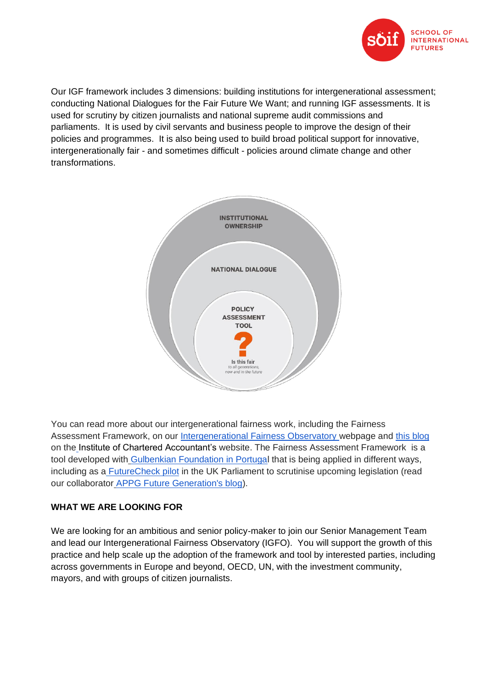

Our IGF framework includes 3 dimensions: building institutions for intergenerational assessment; conducting National Dialogues for the Fair Future We Want; and running IGF assessments. It is used for scrutiny by citizen journalists and national supreme audit commissions and parliaments. It is used by civil servants and business people to improve the design of their policies and programmes. It is also being used to build broad political support for innovative, intergenerationally fair - and sometimes difficult - policies around climate change and other transformations.



You can read more about our intergenerational fairness work, including the Fairness Assessment Framework, on our [Intergenerational Fairness Observatory w](https://soif.org.uk/igf/)ebpage and [this blog](https://www.icaew.com/insights/covid-19-global-recovery/intergenerational-fairness/policy-taking-intergenerational-fairness-into-account) on th[e](https://www.icaew.com/insights/covid-19-global-recovery/intergenerational-fairness/policy-taking-intergenerational-fairness-into-account) Institute of Chartered Accountant's website. The Fairness Assessment Framework is a tool developed with [Gulbenkian Foundation in Portugal](https://gulbenkian.pt/de-hoje-para-amanha/en/public-policies/) that is being applied in different ways, including as a [FutureCheck pilot](https://www.appgfuturegenerations.com/future-check) in the UK Parliament to scrutinise upcoming legislation (read our collaborator [APPG Future Generation's blog\)](https://medium.com/soifutures/future-check-for-intergenerational-fairness-3f38ac98758b).

## **WHAT WE ARE LOOKING FOR**

We are looking for an ambitious and senior policy-maker to join our Senior Management Team and lead our Intergenerational Fairness Observatory (IGFO). You will support the growth of this practice and help scale up the adoption of the framework and tool by interested parties, including across governments in Europe and beyond, OECD, UN, with the investment community, mayors, and with groups of citizen journalists.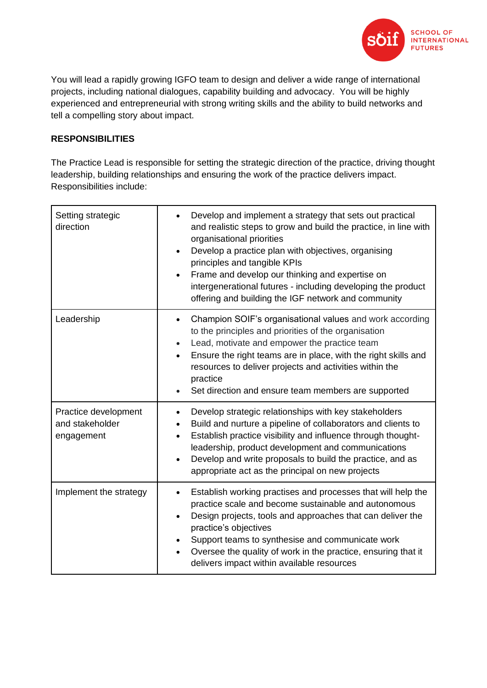

You will lead a rapidly growing IGFO team to design and deliver a wide range of international projects, including national dialogues, capability building and advocacy. You will be highly experienced and entrepreneurial with strong writing skills and the ability to build networks and tell a compelling story about impact.

# **RESPONSIBILITIES**

The Practice Lead is responsible for setting the strategic direction of the practice, driving thought leadership, building relationships and ensuring the work of the practice delivers impact. Responsibilities include:

| Setting strategic<br>direction                        | Develop and implement a strategy that sets out practical<br>and realistic steps to grow and build the practice, in line with<br>organisational priorities<br>Develop a practice plan with objectives, organising<br>$\bullet$<br>principles and tangible KPIs<br>Frame and develop our thinking and expertise on<br>$\bullet$<br>intergenerational futures - including developing the product<br>offering and building the IGF network and community |
|-------------------------------------------------------|------------------------------------------------------------------------------------------------------------------------------------------------------------------------------------------------------------------------------------------------------------------------------------------------------------------------------------------------------------------------------------------------------------------------------------------------------|
| Leadership                                            | Champion SOIF's organisational values and work according<br>$\bullet$<br>to the principles and priorities of the organisation<br>Lead, motivate and empower the practice team<br>$\bullet$<br>Ensure the right teams are in place, with the right skills and<br>$\bullet$<br>resources to deliver projects and activities within the<br>practice<br>Set direction and ensure team members are supported                                              |
| Practice development<br>and stakeholder<br>engagement | Develop strategic relationships with key stakeholders<br>$\bullet$<br>Build and nurture a pipeline of collaborators and clients to<br>Establish practice visibility and influence through thought-<br>$\bullet$<br>leadership, product development and communications<br>Develop and write proposals to build the practice, and as<br>$\bullet$<br>appropriate act as the principal on new projects                                                  |
| Implement the strategy                                | Establish working practises and processes that will help the<br>$\bullet$<br>practice scale and become sustainable and autonomous<br>Design projects, tools and approaches that can deliver the<br>$\bullet$<br>practice's objectives<br>Support teams to synthesise and communicate work<br>Oversee the quality of work in the practice, ensuring that it<br>$\bullet$<br>delivers impact within available resources                                |